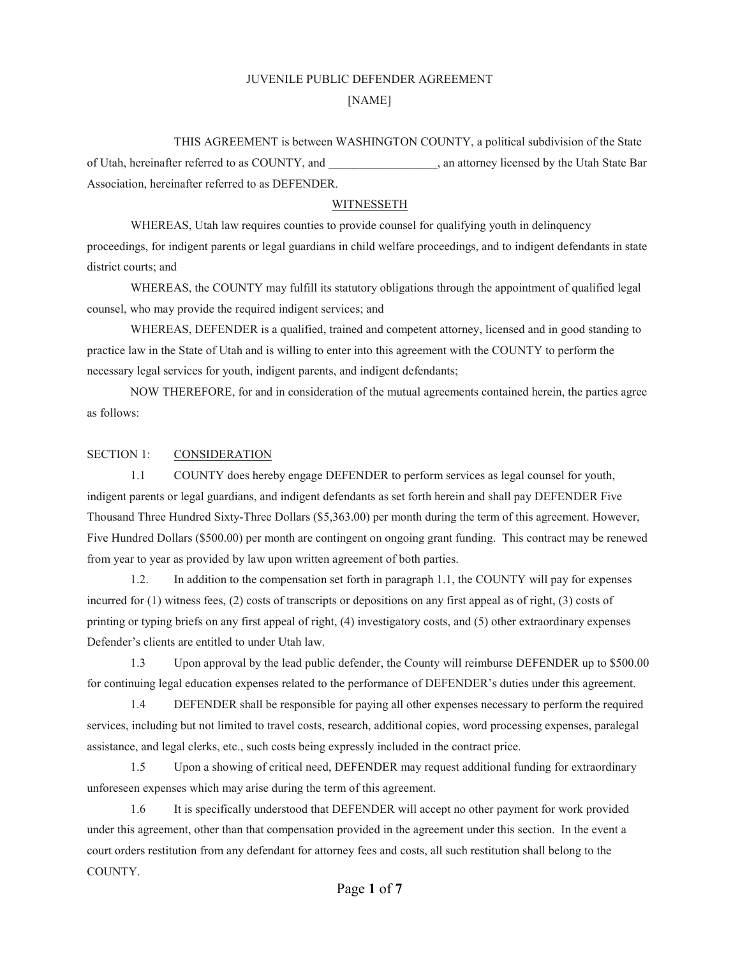# JUVENILE PUBLIC DEFENDER AGREEMENT [NAME]

THIS AGREEMENT is between WASHINGTON COUNTY, a political subdivision of the State of Utah, hereinafter referred to as COUNTY, and  $\qquad \qquad$ , an attorney licensed by the Utah State Bar Association, hereinafter referred to as DEFENDER.

# WITNESSETH

WHEREAS, Utah law requires counties to provide counsel for qualifying youth in delinquency proceedings, for indigent parents or legal guardians in child welfare proceedings, and to indigent defendants in state district courts; and

WHEREAS, the COUNTY may fulfill its statutory obligations through the appointment of qualified legal counsel, who may provide the required indigent services; and

WHEREAS, DEFENDER is a qualified, trained and competent attorney, licensed and in good standing to practice law in the State of Utah and is willing to enter into this agreement with the COUNTY to perform the necessary legal services for youth, indigent parents, and indigent defendants;

NOW THEREFORE, for and in consideration of the mutual agreements contained herein, the parties agree as follows:

# SECTION 1: CONSIDERATION

1.1 COUNTY does hereby engage DEFENDER to perform services as legal counsel for youth, indigent parents or legal guardians, and indigent defendants as set forth herein and shall pay DEFENDER Five Thousand Three Hundred Sixty-Three Dollars (\$5,363.00) per month during the term of this agreement. However, Five Hundred Dollars (\$500.00) per month are contingent on ongoing grant funding. This contract may be renewed from year to year as provided by law upon written agreement of both parties.

1.2. In addition to the compensation set forth in paragraph 1.1, the COUNTY will pay for expenses incurred for (1) witness fees, (2) costs of transcripts or depositions on any first appeal as of right, (3) costs of printing or typing briefs on any first appeal of right, (4) investigatory costs, and (5) other extraordinary expenses Defender's clients are entitled to under Utah law.

1.3 Upon approval by the lead public defender, the County will reimburse DEFENDER up to \$500.00 for continuing legal education expenses related to the performance of DEFENDER's duties under this agreement.

1.4 DEFENDER shall be responsible for paying all other expenses necessary to perform the required services, including but not limited to travel costs, research, additional copies, word processing expenses, paralegal assistance, and legal clerks, etc., such costs being expressly included in the contract price.

1.5 Upon a showing of critical need, DEFENDER may request additional funding for extraordinary unforeseen expenses which may arise during the term of this agreement.

1.6 It is specifically understood that DEFENDER will accept no other payment for work provided under this agreement, other than that compensation provided in the agreement under this section. In the event a court orders restitution from any defendant for attorney fees and costs, all such restitution shall belong to the COUNTY.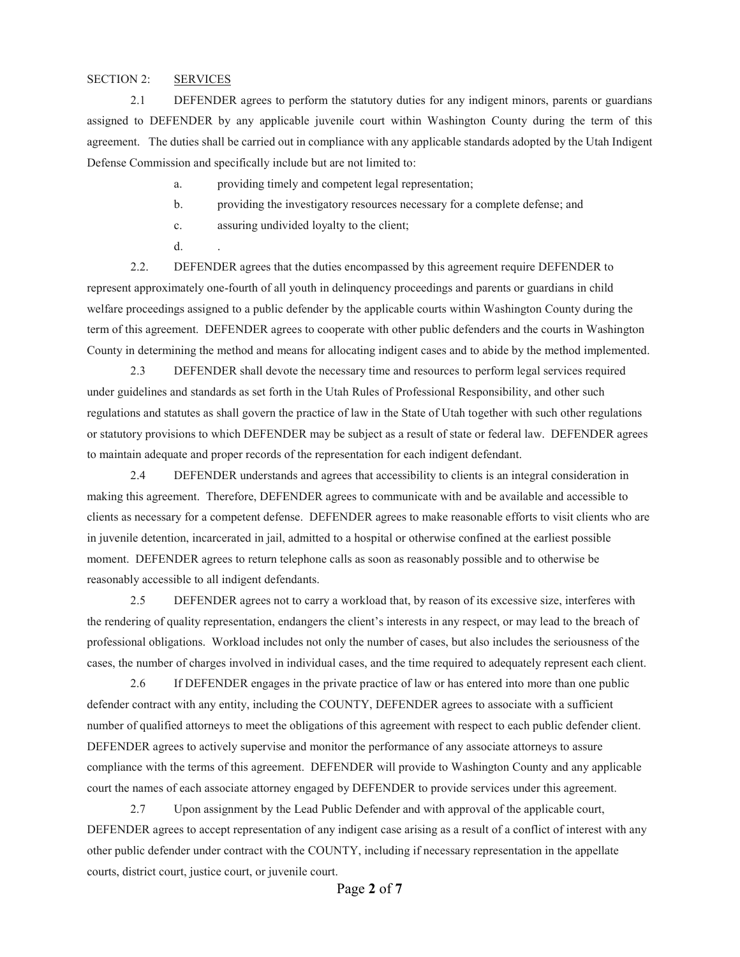# SECTION 2: SERVICES

2.1 DEFENDER agrees to perform the statutory duties for any indigent minors, parents or guardians assigned to DEFENDER by any applicable juvenile court within Washington County during the term of this agreement. The duties shall be carried out in compliance with any applicable standards adopted by the Utah Indigent Defense Commission and specifically include but are not limited to:

a. providing timely and competent legal representation;

- b. providing the investigatory resources necessary for a complete defense; and
- c. assuring undivided loyalty to the client;
- $d$ .

2.2. DEFENDER agrees that the duties encompassed by this agreement require DEFENDER to represent approximately one-fourth of all youth in delinquency proceedings and parents or guardians in child welfare proceedings assigned to a public defender by the applicable courts within Washington County during the term of this agreement. DEFENDER agrees to cooperate with other public defenders and the courts in Washington County in determining the method and means for allocating indigent cases and to abide by the method implemented.

2.3 DEFENDER shall devote the necessary time and resources to perform legal services required under guidelines and standards as set forth in the Utah Rules of Professional Responsibility, and other such regulations and statutes as shall govern the practice of law in the State of Utah together with such other regulations or statutory provisions to which DEFENDER may be subject as a result of state or federal law. DEFENDER agrees to maintain adequate and proper records of the representation for each indigent defendant.

2.4 DEFENDER understands and agrees that accessibility to clients is an integral consideration in making this agreement. Therefore, DEFENDER agrees to communicate with and be available and accessible to clients as necessary for a competent defense. DEFENDER agrees to make reasonable efforts to visit clients who are in juvenile detention, incarcerated in jail, admitted to a hospital or otherwise confined at the earliest possible moment. DEFENDER agrees to return telephone calls as soon as reasonably possible and to otherwise be reasonably accessible to all indigent defendants.

2.5 DEFENDER agrees not to carry a workload that, by reason of its excessive size, interferes with the rendering of quality representation, endangers the client's interests in any respect, or may lead to the breach of professional obligations. Workload includes not only the number of cases, but also includes the seriousness of the cases, the number of charges involved in individual cases, and the time required to adequately represent each client.

2.6 If DEFENDER engages in the private practice of law or has entered into more than one public defender contract with any entity, including the COUNTY, DEFENDER agrees to associate with a sufficient number of qualified attorneys to meet the obligations of this agreement with respect to each public defender client. DEFENDER agrees to actively supervise and monitor the performance of any associate attorneys to assure compliance with the terms of this agreement. DEFENDER will provide to Washington County and any applicable court the names of each associate attorney engaged by DEFENDER to provide services under this agreement.

2.7 Upon assignment by the Lead Public Defender and with approval of the applicable court, DEFENDER agrees to accept representation of any indigent case arising as a result of a conflict of interest with any other public defender under contract with the COUNTY, including if necessary representation in the appellate courts, district court, justice court, or juvenile court.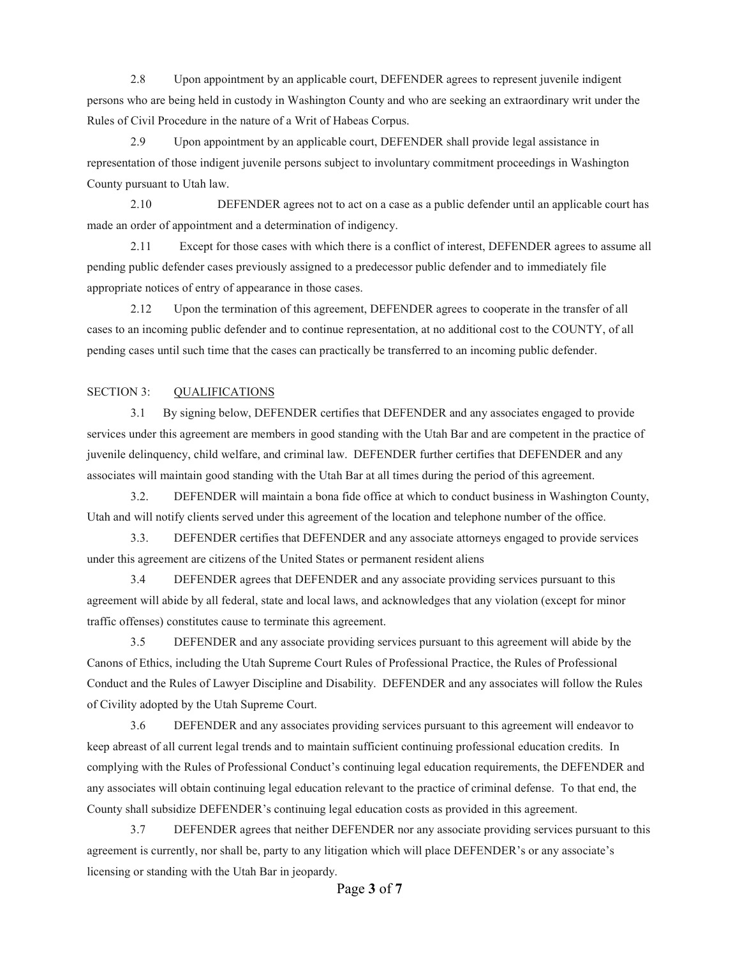2.8 Upon appointment by an applicable court, DEFENDER agrees to represent juvenile indigent persons who are being held in custody in Washington County and who are seeking an extraordinary writ under the Rules of Civil Procedure in the nature of a Writ of Habeas Corpus.

2.9 Upon appointment by an applicable court, DEFENDER shall provide legal assistance in representation of those indigent juvenile persons subject to involuntary commitment proceedings in Washington County pursuant to Utah law.

2.10 DEFENDER agrees not to act on a case as a public defender until an applicable court has made an order of appointment and a determination of indigency.

2.11 Except for those cases with which there is a conflict of interest, DEFENDER agrees to assume all pending public defender cases previously assigned to a predecessor public defender and to immediately file appropriate notices of entry of appearance in those cases.

2.12 Upon the termination of this agreement, DEFENDER agrees to cooperate in the transfer of all cases to an incoming public defender and to continue representation, at no additional cost to the COUNTY, of all pending cases until such time that the cases can practically be transferred to an incoming public defender.

# SECTION 3: QUALIFICATIONS

3.1 By signing below, DEFENDER certifies that DEFENDER and any associates engaged to provide services under this agreement are members in good standing with the Utah Bar and are competent in the practice of juvenile delinquency, child welfare, and criminal law. DEFENDER further certifies that DEFENDER and any associates will maintain good standing with the Utah Bar at all times during the period of this agreement.

3.2. DEFENDER will maintain a bona fide office at which to conduct business in Washington County, Utah and will notify clients served under this agreement of the location and telephone number of the office.

3.3. DEFENDER certifies that DEFENDER and any associate attorneys engaged to provide services under this agreement are citizens of the United States or permanent resident aliens

3.4 DEFENDER agrees that DEFENDER and any associate providing services pursuant to this agreement will abide by all federal, state and local laws, and acknowledges that any violation (except for minor traffic offenses) constitutes cause to terminate this agreement.

3.5 DEFENDER and any associate providing services pursuant to this agreement will abide by the Canons of Ethics, including the Utah Supreme Court Rules of Professional Practice, the Rules of Professional Conduct and the Rules of Lawyer Discipline and Disability. DEFENDER and any associates will follow the Rules of Civility adopted by the Utah Supreme Court.

3.6 DEFENDER and any associates providing services pursuant to this agreement will endeavor to keep abreast of all current legal trends and to maintain sufficient continuing professional education credits. In complying with the Rules of Professional Conduct's continuing legal education requirements, the DEFENDER and any associates will obtain continuing legal education relevant to the practice of criminal defense. To that end, the County shall subsidize DEFENDER's continuing legal education costs as provided in this agreement.

3.7 DEFENDER agrees that neither DEFENDER nor any associate providing services pursuant to this agreement is currently, nor shall be, party to any litigation which will place DEFENDER's or any associate's licensing or standing with the Utah Bar in jeopardy.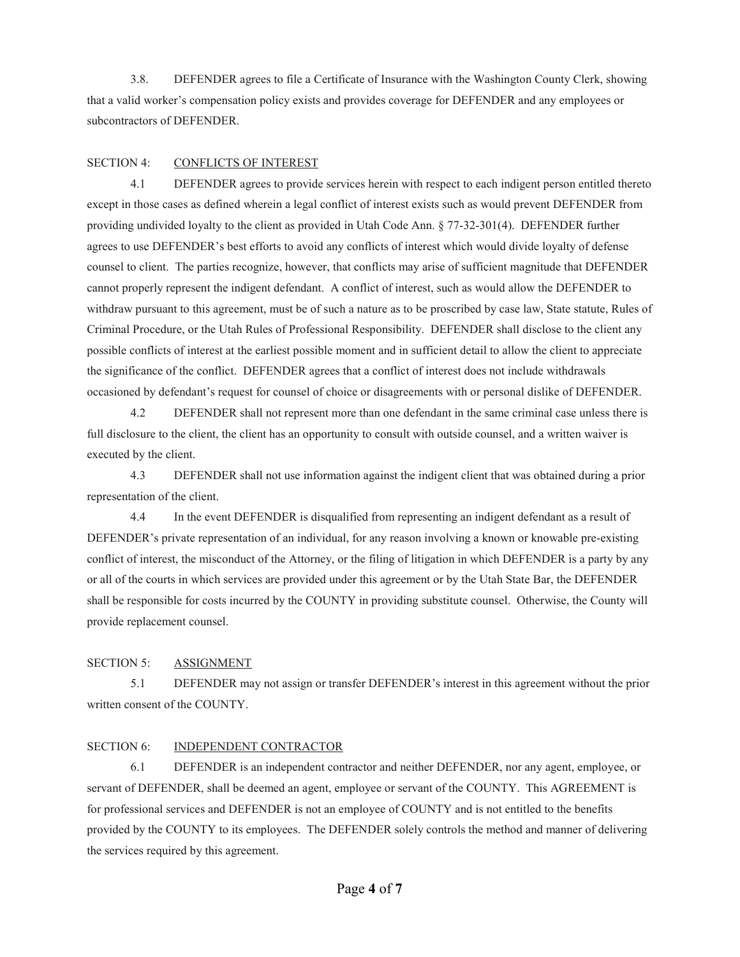3.8. DEFENDER agrees to file a Certificate of Insurance with the Washington County Clerk, showing that a valid worker's compensation policy exists and provides coverage for DEFENDER and any employees or subcontractors of DEFENDER.

#### SECTION 4: CONFLICTS OF INTEREST

4.1 DEFENDER agrees to provide services herein with respect to each indigent person entitled thereto except in those cases as defined wherein a legal conflict of interest exists such as would prevent DEFENDER from providing undivided loyalty to the client as provided in Utah Code Ann. § 77-32-301(4). DEFENDER further agrees to use DEFENDER's best efforts to avoid any conflicts of interest which would divide loyalty of defense counsel to client. The parties recognize, however, that conflicts may arise of sufficient magnitude that DEFENDER cannot properly represent the indigent defendant. A conflict of interest, such as would allow the DEFENDER to withdraw pursuant to this agreement, must be of such a nature as to be proscribed by case law, State statute, Rules of Criminal Procedure, or the Utah Rules of Professional Responsibility. DEFENDER shall disclose to the client any possible conflicts of interest at the earliest possible moment and in sufficient detail to allow the client to appreciate the significance of the conflict. DEFENDER agrees that a conflict of interest does not include withdrawals occasioned by defendant's request for counsel of choice or disagreements with or personal dislike of DEFENDER.

4.2 DEFENDER shall not represent more than one defendant in the same criminal case unless there is full disclosure to the client, the client has an opportunity to consult with outside counsel, and a written waiver is executed by the client.

4.3 DEFENDER shall not use information against the indigent client that was obtained during a prior representation of the client.

4.4 In the event DEFENDER is disqualified from representing an indigent defendant as a result of DEFENDER's private representation of an individual, for any reason involving a known or knowable pre-existing conflict of interest, the misconduct of the Attorney, or the filing of litigation in which DEFENDER is a party by any or all of the courts in which services are provided under this agreement or by the Utah State Bar, the DEFENDER shall be responsible for costs incurred by the COUNTY in providing substitute counsel. Otherwise, the County will provide replacement counsel.

# SECTION 5: ASSIGNMENT

5.1 DEFENDER may not assign or transfer DEFENDER's interest in this agreement without the prior written consent of the COUNTY.

#### SECTION 6: INDEPENDENT CONTRACTOR

6.1 DEFENDER is an independent contractor and neither DEFENDER, nor any agent, employee, or servant of DEFENDER, shall be deemed an agent, employee or servant of the COUNTY. This AGREEMENT is for professional services and DEFENDER is not an employee of COUNTY and is not entitled to the benefits provided by the COUNTY to its employees. The DEFENDER solely controls the method and manner of delivering the services required by this agreement.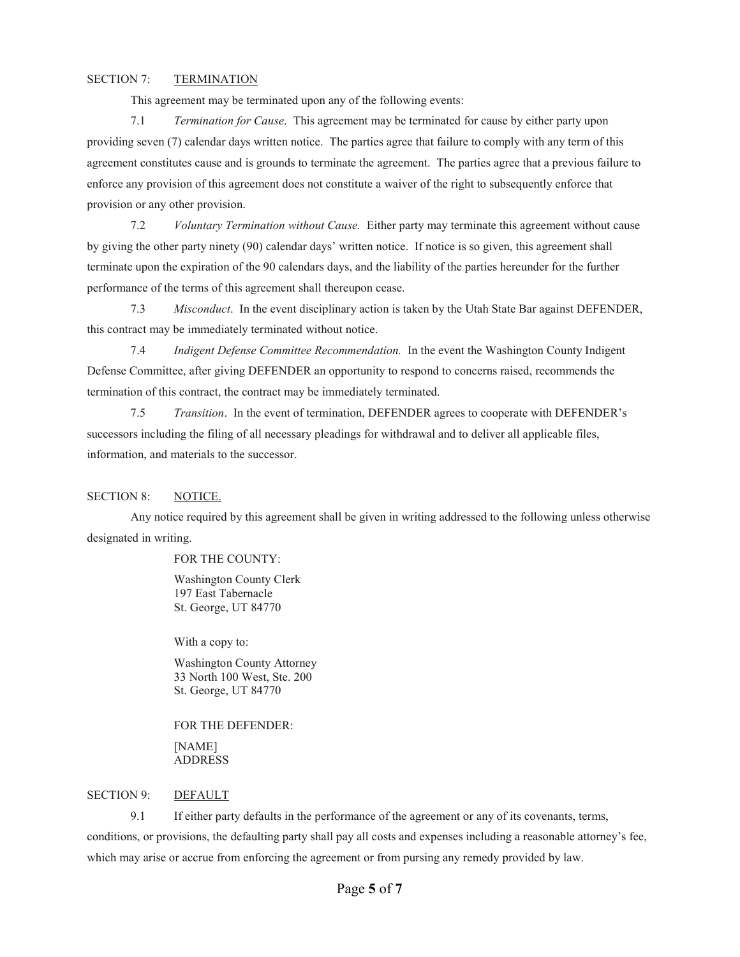# SECTION 7: TERMINATION

This agreement may be terminated upon any of the following events:

7.1 *Termination for Cause*. This agreement may be terminated for cause by either party upon providing seven (7) calendar days written notice. The parties agree that failure to comply with any term of this agreement constitutes cause and is grounds to terminate the agreement. The parties agree that a previous failure to enforce any provision of this agreement does not constitute a waiver of the right to subsequently enforce that provision or any other provision.

7.2 *Voluntary Termination without Cause.* Either party may terminate this agreement without cause by giving the other party ninety (90) calendar days' written notice. If notice is so given, this agreement shall terminate upon the expiration of the 90 calendars days, and the liability of the parties hereunder for the further performance of the terms of this agreement shall thereupon cease.

7.3 *Misconduct*. In the event disciplinary action is taken by the Utah State Bar against DEFENDER, this contract may be immediately terminated without notice.

7.4 *Indigent Defense Committee Recommendation.* In the event the Washington County Indigent Defense Committee, after giving DEFENDER an opportunity to respond to concerns raised, recommends the termination of this contract, the contract may be immediately terminated.

7.5 *Transition*. In the event of termination, DEFENDER agrees to cooperate with DEFENDER's successors including the filing of all necessary pleadings for withdrawal and to deliver all applicable files, information, and materials to the successor.

#### SECTION 8: NOTICE.

Any notice required by this agreement shall be given in writing addressed to the following unless otherwise designated in writing.

# FOR THE COUNTY:

Washington County Clerk 197 East Tabernacle St. George, UT 84770

With a copy to:

Washington County Attorney 33 North 100 West, Ste. 200 St. George, UT 84770

FOR THE DEFENDER: [NAME] ADDRESS

#### SECTION 9: DEFAULT

9.1 If either party defaults in the performance of the agreement or any of its covenants, terms, conditions, or provisions, the defaulting party shall pay all costs and expenses including a reasonable attorney's fee, which may arise or accrue from enforcing the agreement or from pursing any remedy provided by law.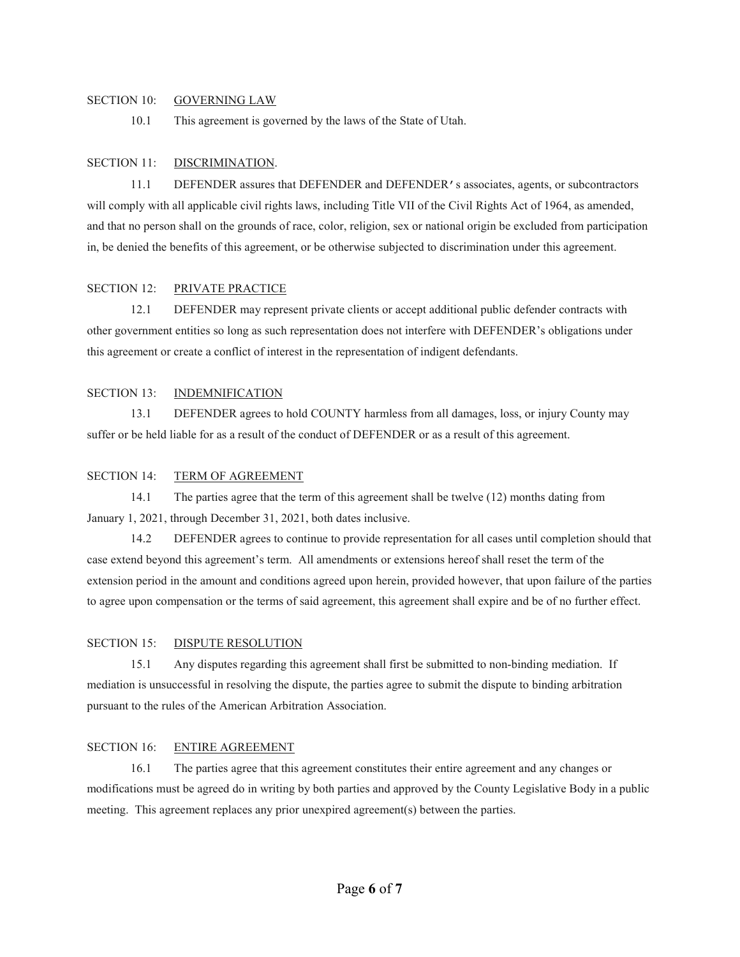### SECTION 10: GOVERNING LAW

10.1 This agreement is governed by the laws of the State of Utah.

#### SECTION 11: DISCRIMINATION.

11.1 DEFENDER assures that DEFENDER and DEFENDER's associates, agents, or subcontractors will comply with all applicable civil rights laws, including Title VII of the Civil Rights Act of 1964, as amended, and that no person shall on the grounds of race, color, religion, sex or national origin be excluded from participation in, be denied the benefits of this agreement, or be otherwise subjected to discrimination under this agreement.

### SECTION 12: PRIVATE PRACTICE

12.1 DEFENDER may represent private clients or accept additional public defender contracts with other government entities so long as such representation does not interfere with DEFENDER's obligations under this agreement or create a conflict of interest in the representation of indigent defendants.

# SECTION 13: INDEMNIFICATION

13.1 DEFENDER agrees to hold COUNTY harmless from all damages, loss, or injury County may suffer or be held liable for as a result of the conduct of DEFENDER or as a result of this agreement.

### SECTION 14: TERM OF AGREEMENT

 14.1 The parties agree that the term of this agreement shall be twelve (12) months dating from January 1, 2021, through December 31, 2021, both dates inclusive.

 14.2 DEFENDER agrees to continue to provide representation for all cases until completion should that case extend beyond this agreement's term. All amendments or extensions hereof shall reset the term of the extension period in the amount and conditions agreed upon herein, provided however, that upon failure of the parties to agree upon compensation or the terms of said agreement, this agreement shall expire and be of no further effect.

#### SECTION 15: DISPUTE RESOLUTION

 15.1 Any disputes regarding this agreement shall first be submitted to non-binding mediation. If mediation is unsuccessful in resolving the dispute, the parties agree to submit the dispute to binding arbitration pursuant to the rules of the American Arbitration Association.

#### SECTION 16: ENTIRE AGREEMENT

16.1 The parties agree that this agreement constitutes their entire agreement and any changes or modifications must be agreed do in writing by both parties and approved by the County Legislative Body in a public meeting. This agreement replaces any prior unexpired agreement(s) between the parties.